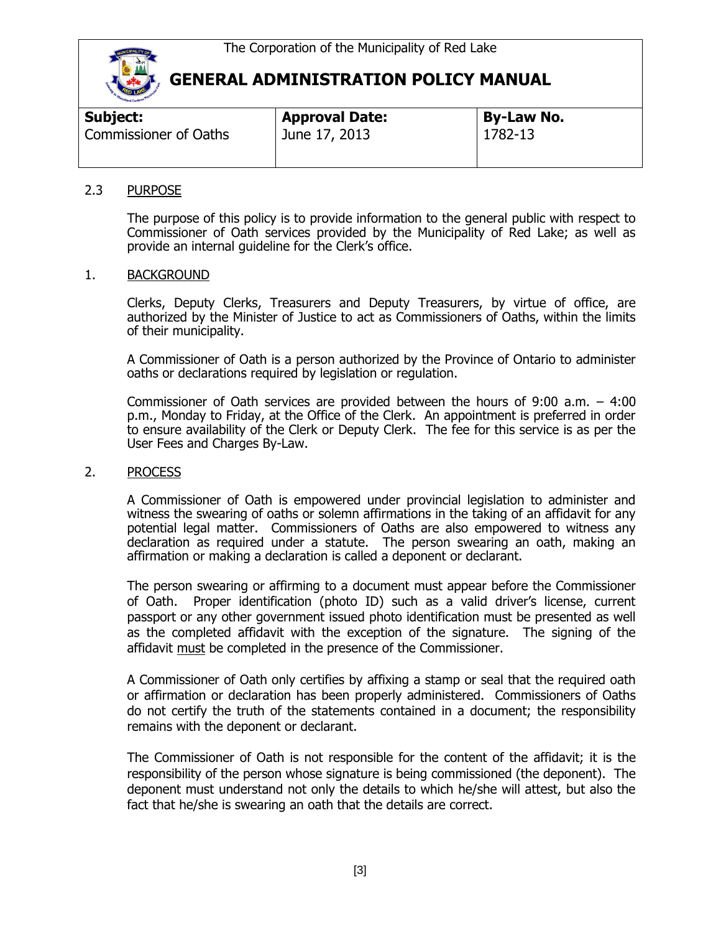

| Subject:              | <b>Approval Date:</b> | <b>By-Law No.</b> |  |
|-----------------------|-----------------------|-------------------|--|
| Commissioner of Oaths | June 17, 2013         | 1782-13           |  |
|                       |                       |                   |  |

### 2.3 PURPOSE

The purpose of this policy is to provide information to the general public with respect to Commissioner of Oath services provided by the Municipality of Red Lake; as well as provide an internal guideline for the Clerk's office.

### 1. BACKGROUND

Clerks, Deputy Clerks, Treasurers and Deputy Treasurers, by virtue of office, are authorized by the Minister of Justice to act as Commissioners of Oaths, within the limits of their municipality.

A Commissioner of Oath is a person authorized by the Province of Ontario to administer oaths or declarations required by legislation or regulation.

Commissioner of Oath services are provided between the hours of 9:00 a.m. – 4:00 p.m., Monday to Friday, at the Office of the Clerk. An appointment is preferred in order to ensure availability of the Clerk or Deputy Clerk. The fee for this service is as per the User Fees and Charges By-Law.

#### 2. PROCESS

A Commissioner of Oath is empowered under provincial legislation to administer and witness the swearing of oaths or solemn affirmations in the taking of an affidavit for any potential legal matter. Commissioners of Oaths are also empowered to witness any declaration as required under a statute. The person swearing an oath, making an affirmation or making a declaration is called a deponent or declarant.

The person swearing or affirming to a document must appear before the Commissioner of Oath. Proper identification (photo ID) such as a valid driver's license, current passport or any other government issued photo identification must be presented as well as the completed affidavit with the exception of the signature. The signing of the affidavit must be completed in the presence of the Commissioner.

A Commissioner of Oath only certifies by affixing a stamp or seal that the required oath or affirmation or declaration has been properly administered. Commissioners of Oaths do not certify the truth of the statements contained in a document; the responsibility remains with the deponent or declarant.

The Commissioner of Oath is not responsible for the content of the affidavit; it is the responsibility of the person whose signature is being commissioned (the deponent). The deponent must understand not only the details to which he/she will attest, but also the fact that he/she is swearing an oath that the details are correct.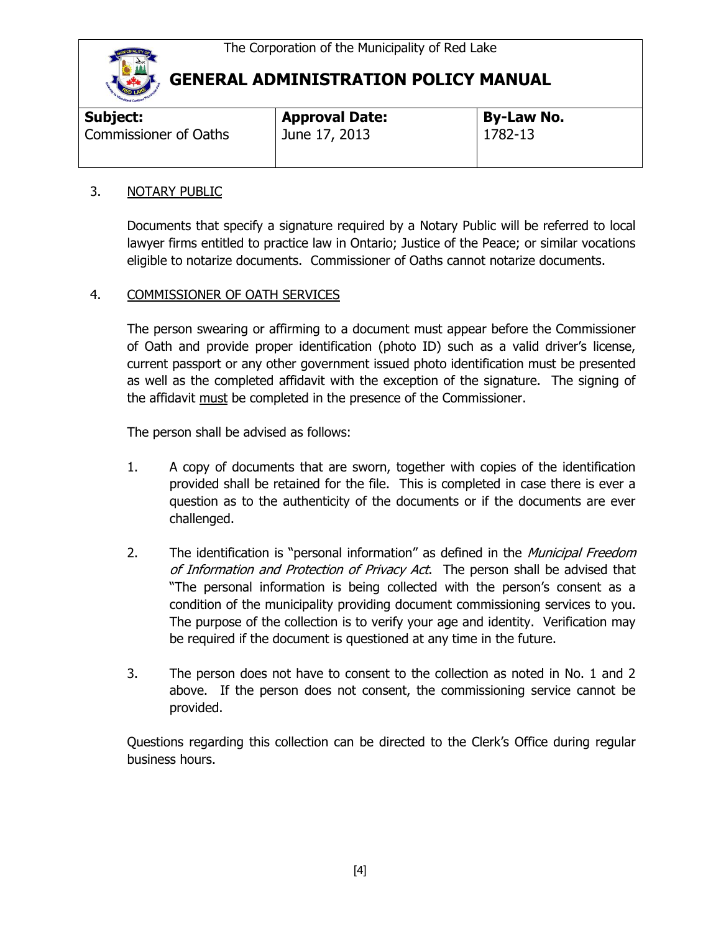

| <b>Approval Date:</b> | <b>By-Law No.</b> |  |  |  |
|-----------------------|-------------------|--|--|--|
| June 17, 2013         | 1782-13           |  |  |  |
|                       |                   |  |  |  |

### 3. NOTARY PUBLIC

Documents that specify a signature required by a Notary Public will be referred to local lawyer firms entitled to practice law in Ontario; Justice of the Peace; or similar vocations eligible to notarize documents. Commissioner of Oaths cannot notarize documents.

## 4. COMMISSIONER OF OATH SERVICES

The person swearing or affirming to a document must appear before the Commissioner of Oath and provide proper identification (photo ID) such as a valid driver's license, current passport or any other government issued photo identification must be presented as well as the completed affidavit with the exception of the signature. The signing of the affidavit must be completed in the presence of the Commissioner.

The person shall be advised as follows:

- 1. A copy of documents that are sworn, together with copies of the identification provided shall be retained for the file. This is completed in case there is ever a question as to the authenticity of the documents or if the documents are ever challenged.
- 2. The identification is "personal information" as defined in the Municipal Freedom of Information and Protection of Privacy Act. The person shall be advised that "The personal information is being collected with the person's consent as a condition of the municipality providing document commissioning services to you. The purpose of the collection is to verify your age and identity. Verification may be required if the document is questioned at any time in the future.
- 3. The person does not have to consent to the collection as noted in No. 1 and 2 above. If the person does not consent, the commissioning service cannot be provided.

Questions regarding this collection can be directed to the Clerk's Office during regular business hours.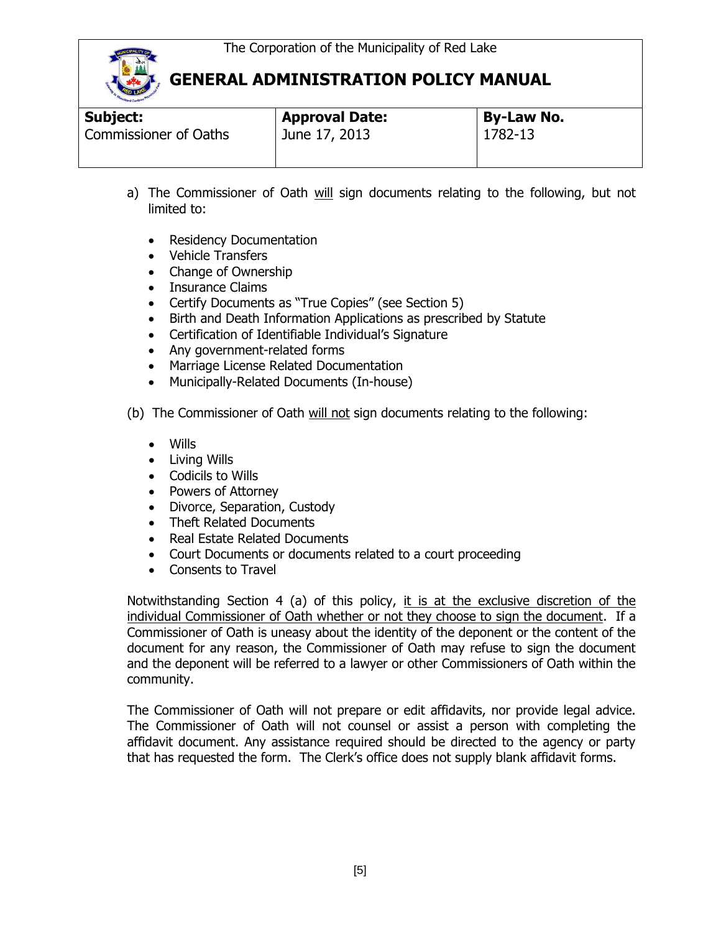

| Subject:                     | <b>Approval Date:</b> | <b>By-Law No.</b> |  |  |
|------------------------------|-----------------------|-------------------|--|--|
| <b>Commissioner of Oaths</b> | June 17, 2013         | 1782-13           |  |  |

- a) The Commissioner of Oath will sign documents relating to the following, but not limited to:
	- Residency Documentation
	- Vehicle Transfers
	- Change of Ownership
	- Insurance Claims
	- Certify Documents as "True Copies" (see Section 5)
	- Birth and Death Information Applications as prescribed by Statute
	- Certification of Identifiable Individual's Signature
	- Any government-related forms
	- Marriage License Related Documentation
	- Municipally-Related Documents (In-house)
- (b) The Commissioner of Oath will not sign documents relating to the following:
	- Wills
	- Living Wills
	- Codicils to Wills
	- Powers of Attorney
	- Divorce, Separation, Custody
	- Theft Related Documents
	- Real Estate Related Documents
	- Court Documents or documents related to a court proceeding
	- Consents to Travel

Notwithstanding Section 4 (a) of this policy, it is at the exclusive discretion of the individual Commissioner of Oath whether or not they choose to sign the document. If a Commissioner of Oath is uneasy about the identity of the deponent or the content of the document for any reason, the Commissioner of Oath may refuse to sign the document and the deponent will be referred to a lawyer or other Commissioners of Oath within the community.

The Commissioner of Oath will not prepare or edit affidavits, nor provide legal advice. The Commissioner of Oath will not counsel or assist a person with completing the affidavit document. Any assistance required should be directed to the agency or party that has requested the form. The Clerk's office does not supply blank affidavit forms.